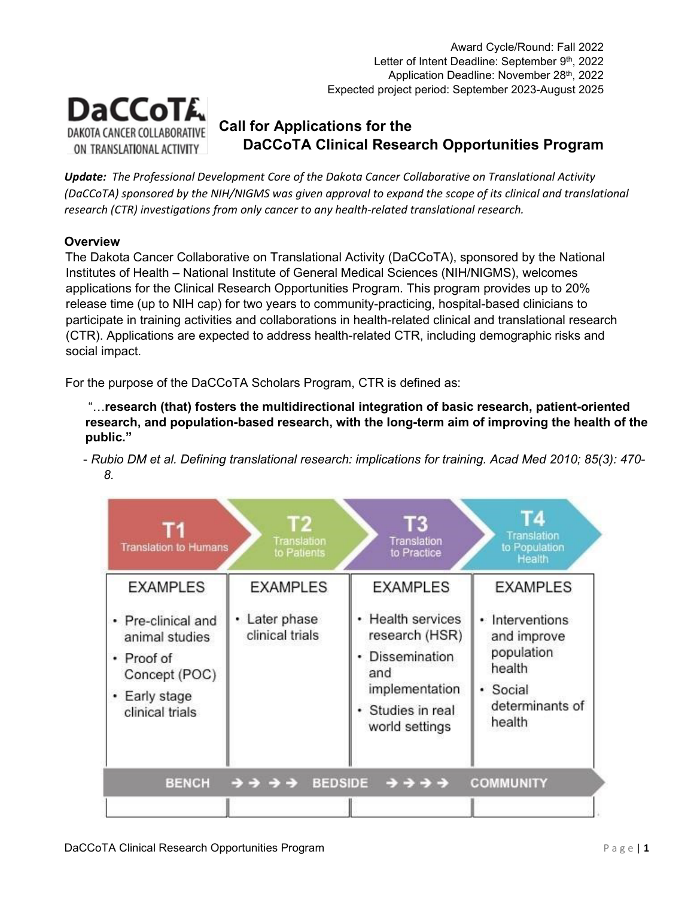

# **Call for Applications for the DaCCoTA Clinical Research Opportunities Program**

*Update: The Professional Development Core of the Dakota Cancer Collaborative on Translational Activity (DaCCoTA) sponsored by the NIH/NIGMS was given approval to expand the scope of its clinical and translational research (CTR) investigations from only cancer to any health-related translational research.*

# **Overview**

The Dakota Cancer Collaborative on Translational Activity (DaCCoTA), sponsored by the National Institutes of Health – National Institute of General Medical Sciences (NIH/NIGMS), welcomes applications for the Clinical Research Opportunities Program. This program provides up to 20% release time (up to NIH cap) for two years to community-practicing, hospital-based clinicians to participate in training activities and collaborations in health-related clinical and translational research (CTR). Applications are expected to address health-related CTR, including demographic risks and social impact.

For the purpose of the DaCCoTA Scholars Program, CTR is defined as:

"…**research (that) fosters the multidirectional integration of basic research, patient-oriented research, and population-based research, with the long-term aim of improving the health of the public."** 

- *Rubio DM et al. Defining translational research: implications for training. Acad Med 2010; 85(3): 470- 8.* 

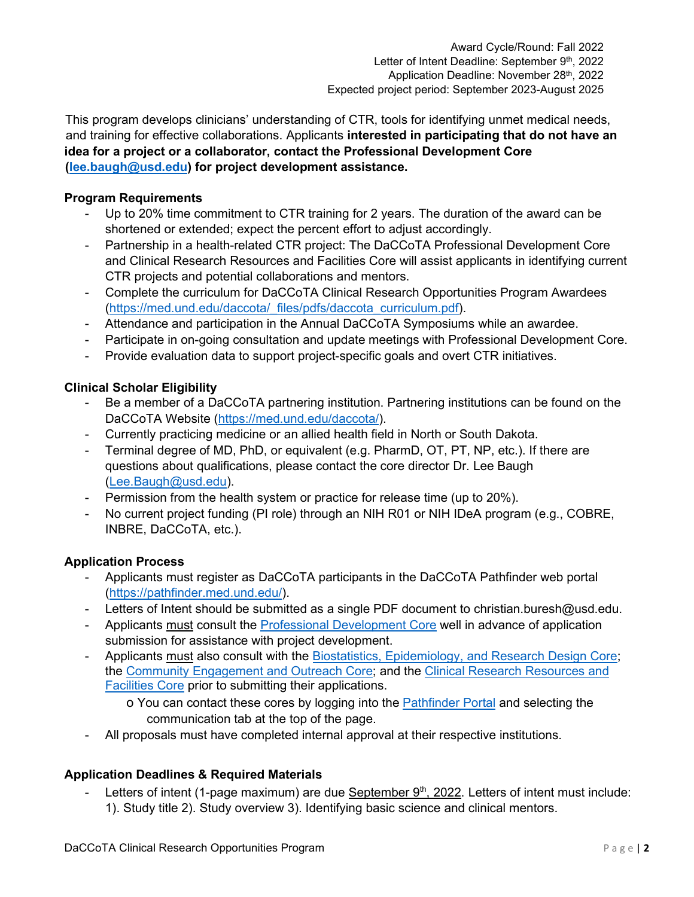This program develops clinicians' understanding of CTR, tools for identifying unmet medical needs, and training for effective collaborations. Applicants **interested in participating that do not have an idea for a project or a collaborator, contact the Professional Development Core (lee.baugh@usd.edu) for project development assistance.** 

#### **Program Requirements**

- Up to 20% time commitment to CTR training for 2 years. The duration of the award can be shortened or extended; expect the percent effort to adjust accordingly.
- Partnership in a health-related CTR project: The DaCCoTA Professional Development Core and Clinical Research Resources and Facilities Core will assist applicants in identifying current CTR projects and potential collaborations and mentors.
- Complete the curriculum for DaCCoTA Clinical Research Opportunities Program Awardees [\(https://med.und.edu/daccota/\\_files/pdfs/daccota\\_curriculum.pdf\).](https://med.und.edu/daccota/_files/pdfs/daccota_curriculum.pdf)
- Attendance and participation in the Annual DaCCoTA Symposiums while an awardee.
- Participate in on-going consultation and update meetings with Professional Development Core.
- Provide evaluation data to support project-specific goals and overt CTR initiatives.

#### **Clinical Scholar Eligibility**

- Be a member of a DaCCoTA partnering institution. Partnering institutions can be found on the DaCCoTA Website [\(https://med.und.edu/daccota/\).](https://med.und.edu/daccota/)
- Currently practicing medicine or an allied health field in North or South Dakota.
- Terminal degree of MD, PhD, or equivalent (e.g. PharmD, OT, PT, NP, etc.). If there are questions about qualifications, please contact the core director Dr. Lee Baugh (Lee.Baugh@usd.edu).
- Permission from the health system or practice for release time (up to 20%).
- No current project funding (PI role) through an NIH R01 or NIH IDeA program (e.g., COBRE, INBRE, DaCCoTA, etc.).

#### **Application Process**

- Applicants must register as DaCCoTA participants in the DaCCoTA Pathfinder web portal [\(https://pathfinder.med.und.edu/\).](https://pathfinder.med.und.edu/)
- Letters of Intent should be submitted as a single PDF document to christian.buresh@usd.edu.
- Applicants must consult the [Professional Development Core](https://med.und.edu/daccota/professional-development-core.html) [wel](https://med.und.edu/daccota/professional-development-core.html)l in advance of application submission for assistance with project development.
- Applicants must also consult with the Biostatistics, Epidemiology, and Research Design Core; the [Community Engagement and Outreach Core; an](https://med.und.edu/daccota/community-engagement-outreach-core.html)d the [Clinical Research Resources and](https://med.und.edu/daccota/clinical-research-resources-facilities-core.html) [Facilities Core](https://med.und.edu/daccota/clinical-research-resources-facilities-core.html) [prio](https://med.und.edu/daccota/clinical-research-resources-facilities-core.html)r to submitting their applications.
	- o You can contact these cores by logging into the **Pathfinder Portal** [and](https://pathfinder.med.und.edu/) selecting the communication tab at the top of the page.
- All proposals must have completed internal approval at their respective institutions.

# **Application Deadlines & Required Materials**

Letters of intent (1-page maximum) are due September 9<sup>th</sup>, 2022. Letters of intent must include: 1). Study title 2). Study overview 3). Identifying basic science and clinical mentors.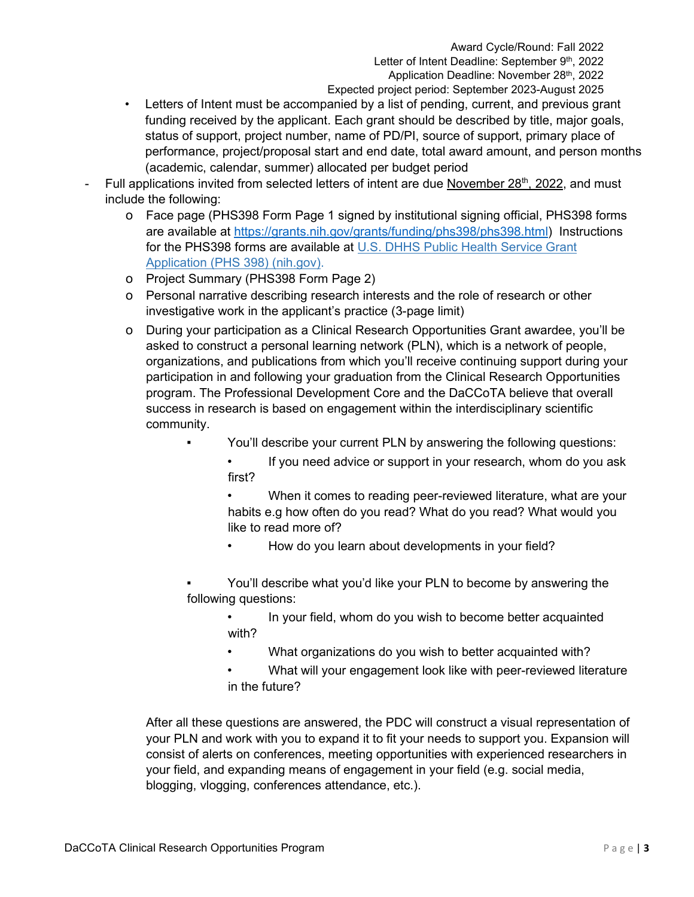Award Cycle/Round: Fall 2022 Letter of Intent Deadline: September 9th, 2022 Application Deadline: November 28<sup>th</sup>, 2022 Expected project period: September 2023-August 2025

- Letters of Intent must be accompanied by a list of pending, current, and previous grant funding received by the applicant. Each grant should be described by title, major goals, status of support, project number, name of PD/PI, source of support, primary place of performance, project/proposal start and end date, total award amount, and person months (academic, calendar, summer) allocated per budget period
- Full applications invited from selected letters of intent are due November 28<sup>th</sup>, 2022, and must include the following:
	- o Face page (PHS398 Form Page 1 signed by institutional signing official, PHS398 forms are available at [https://grants.nih.gov/grants/funding/phs398/phs398.html\) I](https://grants.nih.gov/grants/funding/phs398/phs398.html)nstructions for the PHS398 forms are available at [U.S. DHHS Public Health Service Grant](https://grants.nih.gov/grants/funding/phs398/phs398.pdf) [Application \(PHS 398\) \(nih.gov\).](https://grants.nih.gov/grants/funding/phs398/phs398.pdf)
	- o Project Summary (PHS398 Form Page 2)
	- o Personal narrative describing research interests and the role of research or other investigative work in the applicant's practice (3-page limit)
	- o During your participation as a Clinical Research Opportunities Grant awardee, you'll be asked to construct a personal learning network (PLN), which is a network of people, organizations, and publications from which you'll receive continuing support during your participation in and following your graduation from the Clinical Research Opportunities program. The Professional Development Core and the DaCCoTA believe that overall success in research is based on engagement within the interdisciplinary scientific community.
		- You'll describe your current PLN by answering the following questions:
			- If you need advice or support in your research, whom do you ask first?

• When it comes to reading peer-reviewed literature, what are your habits e.g how often do you read? What do you read? What would you like to read more of?

- How do you learn about developments in your field?
- You'll describe what you'd like your PLN to become by answering the following questions:
	- In your field, whom do you wish to become better acquainted with?
	- What organizations do you wish to better acquainted with?
	- What will your engagement look like with peer-reviewed literature in the future?

After all these questions are answered, the PDC will construct a visual representation of your PLN and work with you to expand it to fit your needs to support you. Expansion will consist of alerts on conferences, meeting opportunities with experienced researchers in your field, and expanding means of engagement in your field (e.g. social media, blogging, vlogging, conferences attendance, etc.).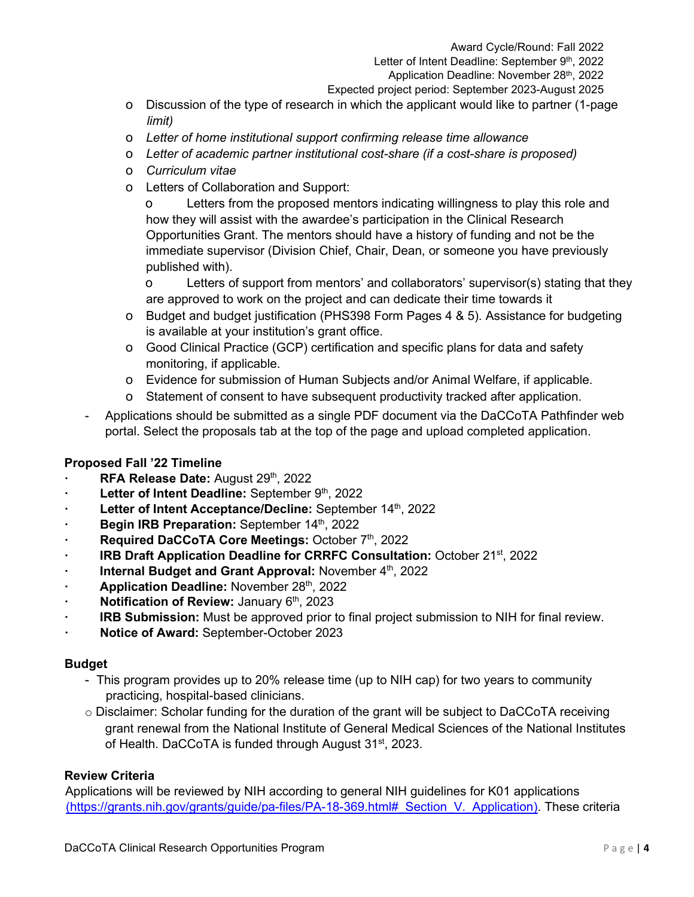- o Discussion of the type of research in which the applicant would like to partner (1-page *limit)*
- o *Letter of home institutional support confirming release time allowance*
- o *Letter of academic partner institutional cost-share (if a cost-share is proposed)*
- o *Curriculum vitae*
- o Letters of Collaboration and Support:

o Letters from the proposed mentors indicating willingness to play this role and how they will assist with the awardee's participation in the Clinical Research Opportunities Grant. The mentors should have a history of funding and not be the immediate supervisor (Division Chief, Chair, Dean, or someone you have previously published with).

o Letters of support from mentors' and collaborators' supervisor(s) stating that they are approved to work on the project and can dedicate their time towards it

- o Budget and budget justification (PHS398 Form Pages 4 & 5). Assistance for budgeting is available at your institution's grant office.
- o Good Clinical Practice (GCP) certification and specific plans for data and safety monitoring, if applicable.
- o Evidence for submission of Human Subjects and/or Animal Welfare, if applicable.
- o Statement of consent to have subsequent productivity tracked after application.
- Applications should be submitted as a single PDF document via the DaCCoTA Pathfinder web portal. Select the proposals tab at the top of the page and upload completed application.

# **Proposed Fall '22 Timeline**

- **RFA Release Date:** August 29th, 2022
- **Example 2015** Letter of Intent Deadline: September 9th, 2022
- **Example 2015** Letter of Intent Acceptance/Decline: September 14th, 2022
- **·** Begin IRB Preparation: September 14<sup>th</sup>, 2022
- **Required DaCCoTA Core Meetings: October 7th, 2022**
- **· IRB Draft Application Deadline for CRRFC Consultation:** October 21st, 2022
- **· Internal Budget and Grant Approval:** November 4<sup>th</sup>, 2022
- Application Deadline: November 28th, 2022
- **· Notification of Review:** January 6<sup>th</sup>, 2023
- **· IRB Submission:** Must be approved prior to final project submission to NIH for final review.
- **· Notice of Award:** September-October 2023

# **Budget**

- This program provides up to 20% release time (up to NIH cap) for two years to community practicing, hospital-based clinicians.
- $\circ$  Disclaimer: Scholar funding for the duration of the grant will be subject to DaCCoTA receiving grant renewal from the National Institute of General Medical Sciences of the National Institutes of Health. DaCCoTA is funded through August 31<sup>st</sup>, 2023.

#### **Review Criteria**

Applications will be reviewed by NIH according to general NIH guidelines for K01 applications (https://grants.nih.gov/grants/guide/pa-files/PA-18-369.html# Section V. Application). These criteria